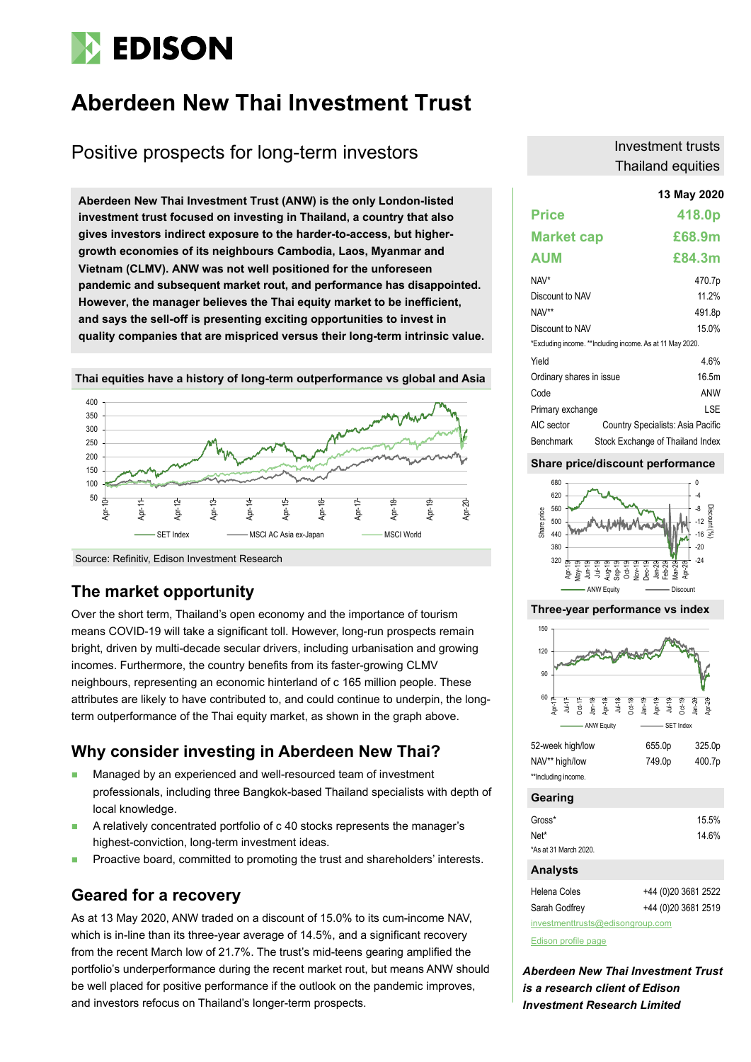# **EDISON**

# **Aberdeen New Thai Investment Trust**

# Positive prospects for long-term investors

**13 May 2020 Aberdeen New Thai Investment Trust (ANW) is the only London-listed investment trust focused on investing in Thailand, a country that also gives investors indirect exposure to the harder-to-access, but highergrowth economies of its neighbours Cambodia, Laos, Myanmar and Vietnam (CLMV). ANW was not well positioned for the unforeseen pandemic and subsequent market rout, and performance has disappointed. However, the manager believes the Thai equity market to be inefficient, and says the sell-off is presenting exciting opportunities to invest in quality companies that are mispriced versus their long-term intrinsic value.** 



**Thai equities have a history of long-term outperformance vs global and Asia**

# **The market opportunity**

Source: Refinitiv, Edison Investment Research

Over the short term, Thailand's open economy and the importance of tourism means COVID-19 will take a significant toll. However, long-run prospects remain bright, driven by multi-decade secular drivers, including urbanisation and growing incomes. Furthermore, the country benefits from its faster-growing CLMV neighbours, representing an economic hinterland of c 165 million people. These attributes are likely to have contributed to, and could continue to underpin, the longterm outperformance of the Thai equity market, as shown in the graph above.

# **Why consider investing in Aberdeen New Thai?**

- Managed by an experienced and well-resourced team of investment professionals, including three Bangkok-based Thailand specialists with depth of local knowledge.
- A relatively concentrated portfolio of c 40 stocks represents the manager's highest-conviction, long-term investment ideas.
- Proactive board, committed to promoting the trust and shareholders' interests.

# **Geared for a recovery**

As at 13 May 2020, ANW traded on a discount of 15.0% to its cum-income NAV, which is in-line than its three-year average of 14.5%, and a significant recovery from the recent March low of 21.7%. The trust's mid-teens gearing amplified the portfolio's underperformance during the recent market rout, but means ANW should be well placed for positive performance if the outlook on the pandemic improves, and investors refocus on Thailand's longer-term prospects.

### Investment trusts Thailand equities

|                          |                                                           | 13 May 2020                       |
|--------------------------|-----------------------------------------------------------|-----------------------------------|
| <b>Price</b>             |                                                           | 418.0p                            |
| <b>Market cap</b>        |                                                           | £68.9m                            |
| AUM                      |                                                           | £84.3m                            |
| $NAV^*$                  |                                                           | 470.7p                            |
| Discount to NAV          |                                                           | 11.2%                             |
| NAV**                    |                                                           | 491.8p                            |
| Discount to NAV          |                                                           | 15.0%                             |
|                          | *Excluding income. **Including income. As at 11 May 2020. |                                   |
| Yield                    |                                                           | 4.6%                              |
| Ordinary shares in issue |                                                           | 16.5m                             |
| Code                     |                                                           | ANW                               |
| Primary exchange         |                                                           | LSE                               |
| AIC sector               |                                                           | Country Specialists: Asia Pacific |
| <b>Benchmark</b>         |                                                           | Stock Exchange of Thailand Index  |

#### **Share price/discount performance**



#### **Three-year performance vs index**



|                     | .      | .      |
|---------------------|--------|--------|
| NAV** high/low      | 749.0p | 400.7p |
| **Including income. |        |        |

#### **Gearing**

| Gross*                | 15.5% |
|-----------------------|-------|
| Net*                  | 14.6% |
| *As at 31 March 2020. |       |

#### **Analysts**

| Helena Coles                     | +44 (0)20 3681 2522 |
|----------------------------------|---------------------|
| Sarah Godfrey                    | +44 (0)20 3681 2519 |
| investmenttrusts@edisongroup.com |                     |

[Edison profile page](https://www.edisoninvestmentresearch.com/research/company/Aberdeen-New-Thai-Investment-Trust)

*Aberdeen New Thai Investment Trust is a research client of Edison Investment Research Limited*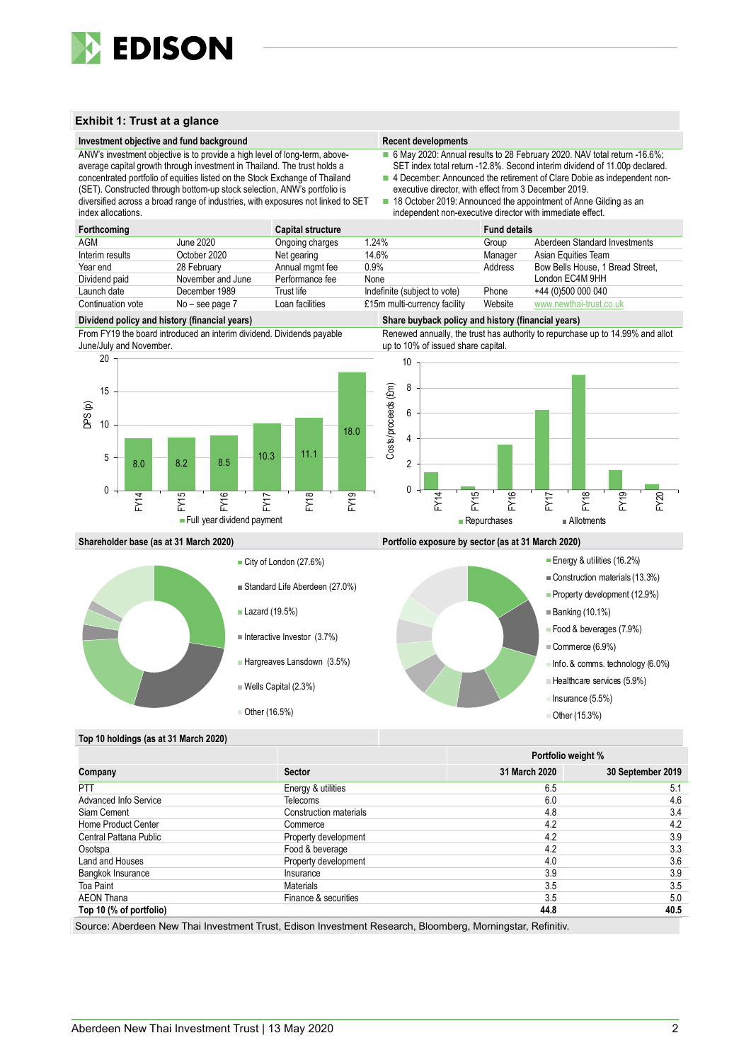

#### **Exhibit 1: Trust at a glance**

#### **Investment objective and fund background Recent developments Recent developments**

6 May 2020: Annual results to 28 February 2020. NAV total return -16.6%; SET index total return -12.8%. Second interim dividend of 11.00p declared.

- 4 December: Announced the retirement of Clare Dobie as independent nonexecutive director, with effect from 3 December 2019.
- diversified across a broad range of industries, with exposures not linked to SET 18 October 2019: Announced the appointment of Anne Gilding as an independent non-executive director with immediate effect.

| index allocations. |                   |                          | independent non-executive director with immediate effect. |                     |                                  |  |  |  |  |  |
|--------------------|-------------------|--------------------------|-----------------------------------------------------------|---------------------|----------------------------------|--|--|--|--|--|
| Forthcoming        |                   | <b>Capital structure</b> |                                                           | <b>Fund details</b> |                                  |  |  |  |  |  |
| AGM                | June 2020         | Ongoing charges          | 1.24%                                                     | Group               | Aberdeen Standard Investments    |  |  |  |  |  |
| Interim results    | October 2020      | Net gearing              | 14.6%                                                     | Manager             | Asian Equities Team              |  |  |  |  |  |
| Year end           | 28 February       | Annual mgmt fee          | $0.9\%$                                                   | Address             | Bow Bells House, 1 Bread Street, |  |  |  |  |  |
| Dividend paid      | November and June | Performance fee          | None                                                      |                     | London EC4M 9HH                  |  |  |  |  |  |
| Launch date        | December 1989     | Trust life               | Indefinite (subject to vote)                              | Phone               | +44 (0)500 000 040               |  |  |  |  |  |
| Continuation vote  | $No - see page 7$ | Loan facilities          | £15m multi-currency facility                              | Website             | www.newthai-trust.co.uk          |  |  |  |  |  |

From FY19 the board introduced an interim dividend. Dividends payable June/July and November.

ANW's investment objective is to provide a high level of long-term, aboveaverage capital growth through investment in Thailand. The trust holds a concentrated portfolio of equities listed on the Stock Exchange of Thailand (SET). Constructed through bottom-up stock selection, ANW's portfolio is



City of London (27.6%)

■ Lazard (19.5%)

Standard Life Aberdeen (27.0%)

 $\blacksquare$  Interactive Investor (3.7%)

Wells Capital (2.3%)

■ Other (16.5%)

Hargreaves Lansdown (3.5%)

**Dividend policy and history (financial years) Share buyback policy and history (financial years)**

Renewed annually, the trust has authority to repurchase up to 14.99% and allot up to 10% of issued share capital.



**Shareholder base (as at 31 March 2020) Portfolio exposure by sector (as at 31 March 2020)**



#### **Top 10 holdings (as at 31 March 2020)**

|                         |                        |               | Portfolio weight % |
|-------------------------|------------------------|---------------|--------------------|
| Company                 | <b>Sector</b>          | 31 March 2020 | 30 September 2019  |
| <b>PTT</b>              | Energy & utilities     | 6.5           | 5.1                |
| Advanced Info Service   | Telecoms               | 6.0           | 4.6                |
| Siam Cement             | Construction materials | 4.8           | 3.4                |
| Home Product Center     | Commerce               | 4.2           | 4.2                |
| Central Pattana Public  | Property development   | 4.2           | 3.9                |
| Osotspa                 | Food & beverage        | 4.2           | 3.3                |
| Land and Houses         | Property development   | 4.0           | 3.6                |
| Bangkok Insurance       | Insurance              | 3.9           | 3.9                |
| Toa Paint               | <b>Materials</b>       | 3.5           | 3.5                |
| <b>AEON Thana</b>       | Finance & securities   | 3.5           | 5.0                |
| Top 10 (% of portfolio) |                        | 44.8          | 40.5               |

Source: Aberdeen New Thai Investment Trust, Edison Investment Research, Bloomberg, Morningstar, Refinitiv.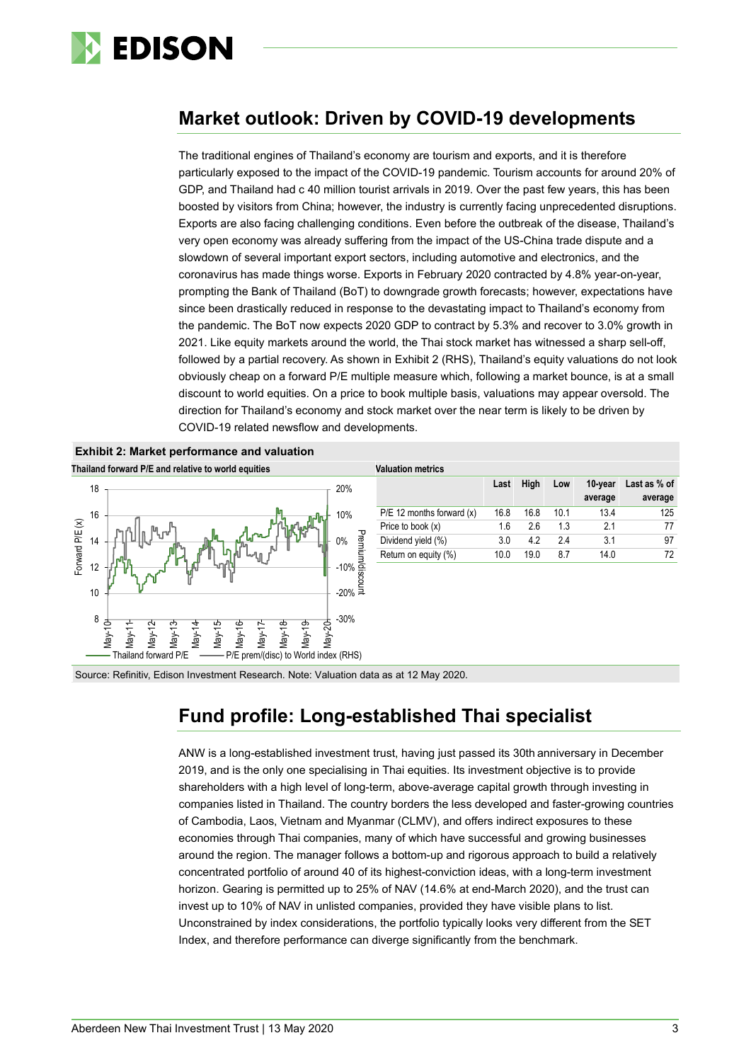

# **Market outlook: Driven by COVID-19 developments**

The traditional engines of Thailand's economy are tourism and exports, and it is therefore particularly exposed to the impact of the COVID-19 pandemic. Tourism accounts for around 20% of GDP, and Thailand had c 40 million tourist arrivals in 2019. Over the past few years, this has been boosted by visitors from China; however, the industry is currently facing unprecedented disruptions. Exports are also facing challenging conditions. Even before the outbreak of the disease, Thailand's very open economy was already suffering from the impact of the US-China trade dispute and a slowdown of several important export sectors, including automotive and electronics, and the coronavirus has made things worse. Exports in February 2020 contracted by 4.8% year-on-year, prompting the Bank of Thailand (BoT) to downgrade growth forecasts; however, expectations have since been drastically reduced in response to the devastating impact to Thailand's economy from the pandemic. The BoT now expects 2020 GDP to contract by 5.3% and recover to 3.0% growth in 2021. Like equity markets around the world, the Thai stock market has witnessed a sharp sell-off, followed by a partial recovery. As shown in Exhibit 2 (RHS), Thailand's equity valuations do not look obviously cheap on a forward P/E multiple measure which, following a market bounce, is at a small discount to world equities. On a price to book multiple basis, valuations may appear oversold. The direction for Thailand's economy and stock market over the near term is likely to be driven by COVID-19 related newsflow and developments.



**Exhibit 2: Market performance and valuation**

| <b>Valuation metrics</b>      |      |      |     |         |              |  |  |  |  |  |
|-------------------------------|------|------|-----|---------|--------------|--|--|--|--|--|
|                               | Last | Hiah | Low | 10-year | Last as % of |  |  |  |  |  |
|                               |      |      |     | average | average      |  |  |  |  |  |
| $P/E$ 12 months forward $(x)$ | 16.8 | 16.8 | 101 | 134     | 125          |  |  |  |  |  |
| Price to book $(x)$           | 16   | 2.6  | 13  | 21      | 77           |  |  |  |  |  |
| Dividend yield (%)            | 3.0  | 42   | 24  | 3.1     | 97           |  |  |  |  |  |
| Return on equity (%)          | 10.0 | 19 0 | 87  | 14.0    | 72           |  |  |  |  |  |

Source: Refinitiv, Edison Investment Research. Note: Valuation data as at 12 May 2020.

# **Fund profile: Long-established Thai specialist**

ANW is a long-established investment trust, having just passed its 30th anniversary in December 2019, and is the only one specialising in Thai equities. Its investment objective is to provide shareholders with a high level of long-term, above-average capital growth through investing in companies listed in Thailand. The country borders the less developed and faster-growing countries of Cambodia, Laos, Vietnam and Myanmar (CLMV), and offers indirect exposures to these economies through Thai companies, many of which have successful and growing businesses around the region. The manager follows a bottom-up and rigorous approach to build a relatively concentrated portfolio of around 40 of its highest-conviction ideas, with a long-term investment horizon. Gearing is permitted up to 25% of NAV (14.6% at end-March 2020), and the trust can invest up to 10% of NAV in unlisted companies, provided they have visible plans to list. Unconstrained by index considerations, the portfolio typically looks very different from the SET Index, and therefore performance can diverge significantly from the benchmark.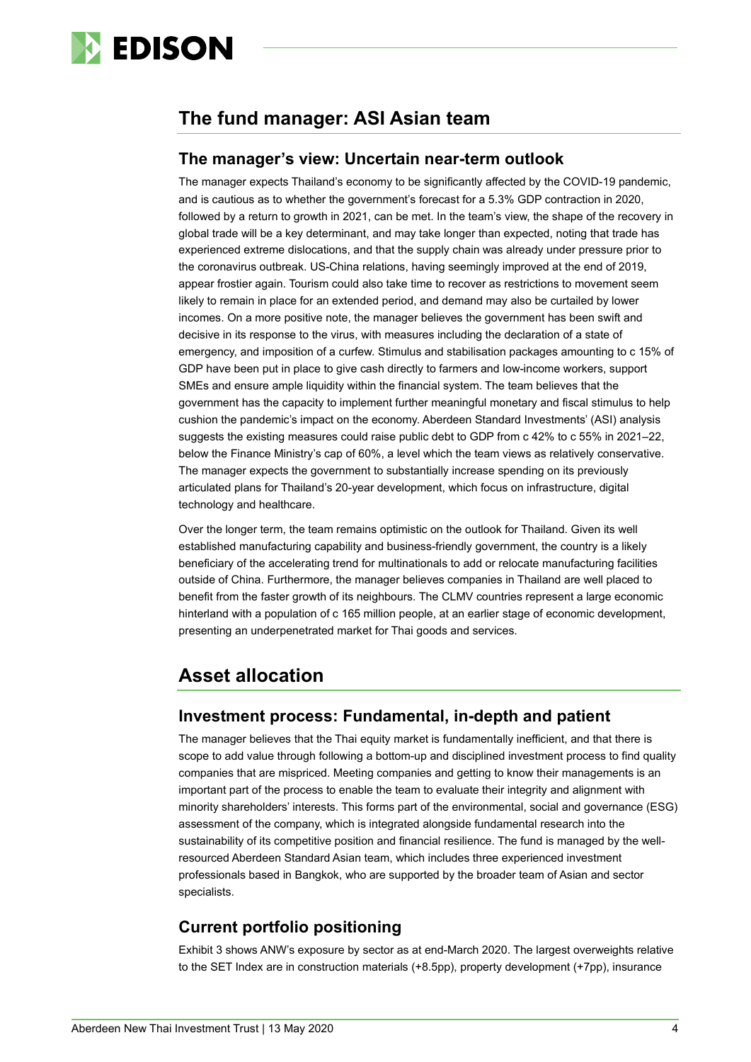

# **The fund manager: ASI Asian team**

### **The manager's view: Uncertain near-term outlook**

The manager expects Thailand's economy to be significantly affected by the COVID-19 pandemic, and is cautious as to whether the government's forecast for a 5.3% GDP contraction in 2020, followed by a return to growth in 2021, can be met. In the team's view, the shape of the recovery in global trade will be a key determinant, and may take longer than expected, noting that trade has experienced extreme dislocations, and that the supply chain was already under pressure prior to the coronavirus outbreak. US-China relations, having seemingly improved at the end of 2019, appear frostier again. Tourism could also take time to recover as restrictions to movement seem likely to remain in place for an extended period, and demand may also be curtailed by lower incomes. On a more positive note, the manager believes the government has been swift and decisive in its response to the virus, with measures including the declaration of a state of emergency, and imposition of a curfew. Stimulus and stabilisation packages amounting to c 15% of GDP have been put in place to give cash directly to farmers and low-income workers, support SMEs and ensure ample liquidity within the financial system. The team believes that the government has the capacity to implement further meaningful monetary and fiscal stimulus to help cushion the pandemic's impact on the economy. Aberdeen Standard Investments' (ASI) analysis suggests the existing measures could raise public debt to GDP from c 42% to c 55% in 2021–22, below the Finance Ministry's cap of 60%, a level which the team views as relatively conservative. The manager expects the government to substantially increase spending on its previously articulated plans for Thailand's 20-year development, which focus on infrastructure, digital technology and healthcare.

Over the longer term, the team remains optimistic on the outlook for Thailand. Given its well established manufacturing capability and business-friendly government, the country is a likely beneficiary of the accelerating trend for multinationals to add or relocate manufacturing facilities outside of China. Furthermore, the manager believes companies in Thailand are well placed to benefit from the faster growth of its neighbours. The CLMV countries represent a large economic hinterland with a population of c 165 million people, at an earlier stage of economic development, presenting an underpenetrated market for Thai goods and services.

# **Asset allocation**

## **Investment process: Fundamental, in-depth and patient**

The manager believes that the Thai equity market is fundamentally inefficient, and that there is scope to add value through following a bottom-up and disciplined investment process to find quality companies that are mispriced. Meeting companies and getting to know their managements is an important part of the process to enable the team to evaluate their integrity and alignment with minority shareholders' interests. This forms part of the environmental, social and governance (ESG) assessment of the company, which is integrated alongside fundamental research into the sustainability of its competitive position and financial resilience. The fund is managed by the wellresourced Aberdeen Standard Asian team, which includes three experienced investment professionals based in Bangkok, who are supported by the broader team of Asian and sector specialists.

# **Current portfolio positioning**

Exhibit 3 shows ANW's exposure by sector as at end-March 2020. The largest overweights relative to the SET Index are in construction materials (+8.5pp), property development (+7pp), insurance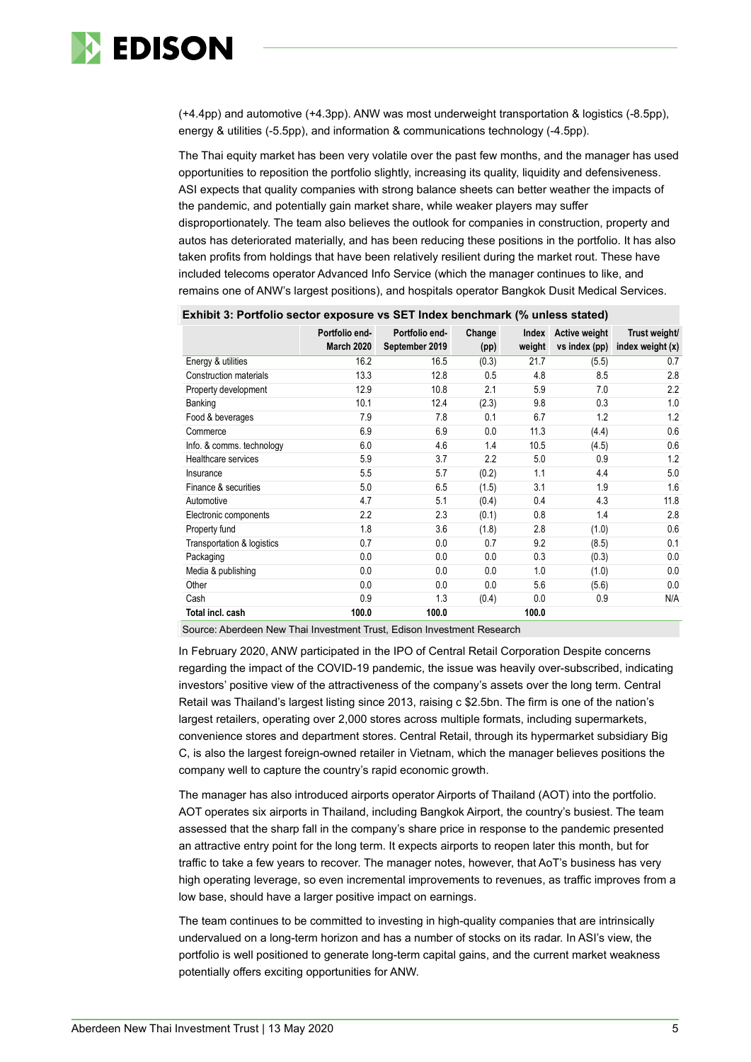

(+4.4pp) and automotive (+4.3pp). ANW was most underweight transportation & logistics (-8.5pp), energy & utilities (-5.5pp), and information & communications technology (-4.5pp).

The Thai equity market has been very volatile over the past few months, and the manager has used opportunities to reposition the portfolio slightly, increasing its quality, liquidity and defensiveness. ASI expects that quality companies with strong balance sheets can better weather the impacts of the pandemic, and potentially gain market share, while weaker players may suffer disproportionately. The team also believes the outlook for companies in construction, property and autos has deteriorated materially, and has been reducing these positions in the portfolio. It has also taken profits from holdings that have been relatively resilient during the market rout. These have included telecoms operator Advanced Info Service (which the manager continues to like, and remains one of ANW's largest positions), and hospitals operator Bangkok Dusit Medical Services.

| -Allience: I ordono opolor exposure to be randox sensimilarly allied claimar |                                     |                                  |                |                 |                                       |                                   |  |  |  |  |
|------------------------------------------------------------------------------|-------------------------------------|----------------------------------|----------------|-----------------|---------------------------------------|-----------------------------------|--|--|--|--|
|                                                                              | Portfolio end-<br><b>March 2020</b> | Portfolio end-<br>September 2019 | Change<br>(pp) | Index<br>weight | <b>Active weight</b><br>vs index (pp) | Trust weight/<br>index weight (x) |  |  |  |  |
| Energy & utilities                                                           | 16.2                                | 16.5                             | (0.3)          | 21.7            | (5.5)                                 | 0.7                               |  |  |  |  |
| Construction materials                                                       | 13.3                                | 12.8                             | 0.5            | 4.8             | 8.5                                   | 2.8                               |  |  |  |  |
| Property development                                                         | 12.9                                | 10.8                             | 2.1            | 5.9             | 7.0                                   | 2.2                               |  |  |  |  |
| Banking                                                                      | 10.1                                | 12.4                             | (2.3)          | 9.8             | 0.3                                   | 1.0                               |  |  |  |  |
| Food & beverages                                                             | 7.9                                 | 7.8                              | 0.1            | 6.7             | 1.2                                   | 1.2                               |  |  |  |  |
| Commerce                                                                     | 6.9                                 | 6.9                              | 0.0            | 11.3            | (4.4)                                 | 0.6                               |  |  |  |  |
| Info. & comms. technology                                                    | 6.0                                 | 4.6                              | 1.4            | 10.5            | (4.5)                                 | 0.6                               |  |  |  |  |
| Healthcare services                                                          | 5.9                                 | 3.7                              | 2.2            | 5.0             | 0.9                                   | 1.2                               |  |  |  |  |
| Insurance                                                                    | 5.5                                 | 5.7                              | (0.2)          | 1.1             | 4.4                                   | 5.0                               |  |  |  |  |
| Finance & securities                                                         | 5.0                                 | 6.5                              | (1.5)          | 3.1             | 1.9                                   | 1.6                               |  |  |  |  |
| Automotive                                                                   | 4.7                                 | 5.1                              | (0.4)          | 0.4             | 4.3                                   | 11.8                              |  |  |  |  |
| Electronic components                                                        | 2.2                                 | 2.3                              | (0.1)          | 0.8             | 1.4                                   | 2.8                               |  |  |  |  |
| Property fund                                                                | 1.8                                 | 3.6                              | (1.8)          | 2.8             | (1.0)                                 | 0.6                               |  |  |  |  |
| Transportation & logistics                                                   | 0.7                                 | 0.0                              | 0.7            | 9.2             | (8.5)                                 | 0.1                               |  |  |  |  |
| Packaging                                                                    | 0.0                                 | 0.0                              | 0.0            | 0.3             | (0.3)                                 | 0.0                               |  |  |  |  |
| Media & publishing                                                           | 0.0                                 | 0.0                              | 0.0            | 1.0             | (1.0)                                 | 0.0                               |  |  |  |  |
| Other                                                                        | 0.0                                 | 0.0                              | 0.0            | 5.6             | (5.6)                                 | 0.0                               |  |  |  |  |
| Cash                                                                         | 0.9                                 | 1.3                              | (0.4)          | 0.0             | 0.9                                   | N/A                               |  |  |  |  |
| Total incl. cash                                                             | 100.0                               | 100.0                            |                | 100.0           |                                       |                                   |  |  |  |  |

#### **Exhibit 3: Portfolio sector exposure vs SET Index benchmark (% unless stated)**

Source: Aberdeen New Thai Investment Trust, Edison Investment Research

In February 2020, ANW participated in the IPO of Central Retail Corporation Despite concerns regarding the impact of the COVID-19 pandemic, the issue was heavily over-subscribed, indicating investors' positive view of the attractiveness of the company's assets over the long term. Central Retail was Thailand's largest listing since 2013, raising c \$2.5bn. The firm is one of the nation's largest retailers, operating over 2,000 stores across multiple formats, including supermarkets, convenience stores and department stores. Central Retail, through its hypermarket subsidiary Big C, is also the largest foreign-owned retailer in Vietnam, which the manager believes positions the company well to capture the country's rapid economic growth.

The manager has also introduced airports operator Airports of Thailand (AOT) into the portfolio. AOT operates six airports in Thailand, including Bangkok Airport, the country's busiest. The team assessed that the sharp fall in the company's share price in response to the pandemic presented an attractive entry point for the long term. It expects airports to reopen later this month, but for traffic to take a few years to recover. The manager notes, however, that AoT's business has very high operating leverage, so even incremental improvements to revenues, as traffic improves from a low base, should have a larger positive impact on earnings.

The team continues to be committed to investing in high-quality companies that are intrinsically undervalued on a long-term horizon and has a number of stocks on its radar. In ASI's view, the portfolio is well positioned to generate long-term capital gains, and the current market weakness potentially offers exciting opportunities for ANW.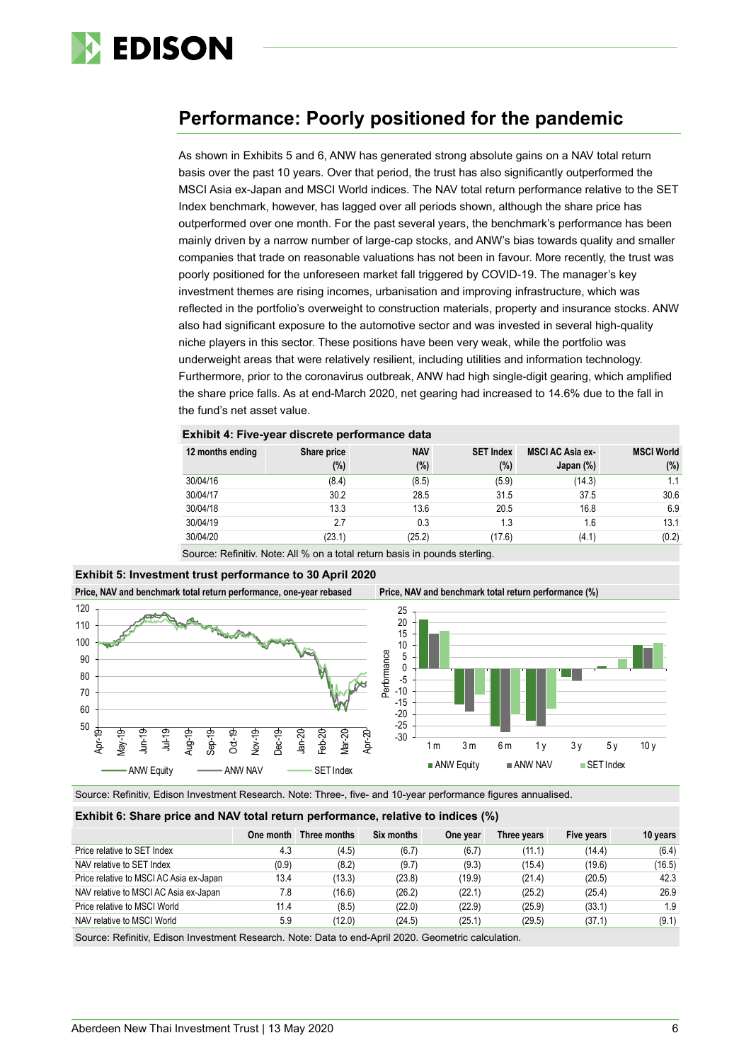

# **Performance: Poorly positioned for the pandemic**

As shown in Exhibits 5 and 6, ANW has generated strong absolute gains on a NAV total return basis over the past 10 years. Over that period, the trust has also significantly outperformed the MSCI Asia ex-Japan and MSCI World indices. The NAV total return performance relative to the SET Index benchmark, however, has lagged over all periods shown, although the share price has outperformed over one month. For the past several years, the benchmark's performance has been mainly driven by a narrow number of large-cap stocks, and ANW's bias towards quality and smaller companies that trade on reasonable valuations has not been in favour. More recently, the trust was poorly positioned for the unforeseen market fall triggered by COVID-19. The manager's key investment themes are rising incomes, urbanisation and improving infrastructure, which was reflected in the portfolio's overweight to construction materials, property and insurance stocks. ANW also had significant exposure to the automotive sector and was invested in several high-quality niche players in this sector. These positions have been very weak, while the portfolio was underweight areas that were relatively resilient, including utilities and information technology. Furthermore, prior to the coronavirus outbreak, ANW had high single-digit gearing, which amplified the share price falls. As at end-March 2020, net gearing had increased to 14.6% due to the fall in the fund's net asset value.

| 12 months ending | Share price<br>$(\%)$ | <b>NAV</b><br>(%) | <b>SET Index</b><br>$(\%)$ | <b>MSCI AC Asia ex-</b><br>Japan $(\%)$ | <b>MSCI World</b><br>$(\%)$ |
|------------------|-----------------------|-------------------|----------------------------|-----------------------------------------|-----------------------------|
| 30/04/16         | (8.4)                 | (8.5)             | (5.9)                      | (14.3)                                  | 1.1                         |
| 30/04/17         | 30.2                  | 28.5              | 31.5                       | 37.5                                    | 30.6                        |
| 30/04/18         | 13.3                  | 13.6              | 20.5                       | 16.8                                    | 6.9                         |
| 30/04/19         | 2.7                   | 0.3               | 1.3                        | 1.6                                     | 13.1                        |
| 30/04/20         | (23.1)                | (25.2)            | (17.6)                     | (4.1)                                   | (0.2)                       |

**Exhibit 4: Five-year discrete performance data**

Source: Refinitiv. Note: All % on a total return basis in pounds sterling.

### **Exhibit 5: Investment trust performance to 30 April 2020**

**Price, NAV and benchmark total return performance, one-year rebased Price, NAV and benchmark total return performance (%)**



Source: Refinitiv, Edison Investment Research. Note: Three-, five- and 10-year performance figures annualised.

#### **Exhibit 6: Share price and NAV total return performance, relative to indices (%)**

|                                         |       | One month Three months | Six months | One year | Three years | Five years | 10 years |
|-----------------------------------------|-------|------------------------|------------|----------|-------------|------------|----------|
| Price relative to SET Index             | 4.3   | (4.5)                  | (6.7)      | (6.7)    | (11.1)      | (14.4)     | (6.4)    |
| NAV relative to SET Index               | (0.9) | (8.2)                  | (9.7)      | (9.3)    | (15.4)      | (19.6)     | (16.5)   |
| Price relative to MSCI AC Asia ex-Japan | 13.4  | (13.3)                 | (23.8)     | (19.9)   | (21.4)      | (20.5)     | 42.3     |
| NAV relative to MSCI AC Asia ex-Japan   | 7.8   | (16.6)                 | (26.2)     | (22.1)   | (25.2)      | (25.4)     | 26.9     |
| Price relative to MSCI World            | 11.4  | (8.5)                  | (22.0)     | (22.9)   | (25.9)      | (33.1)     | 1.9      |
| NAV relative to MSCI World              | 5.9   | (12.0)                 | (24.5)     | (25.1)   | (29.5)      | (37.1)     | (9.1)    |

Source: Refinitiv, Edison Investment Research. Note: Data to end-April 2020. Geometric calculation.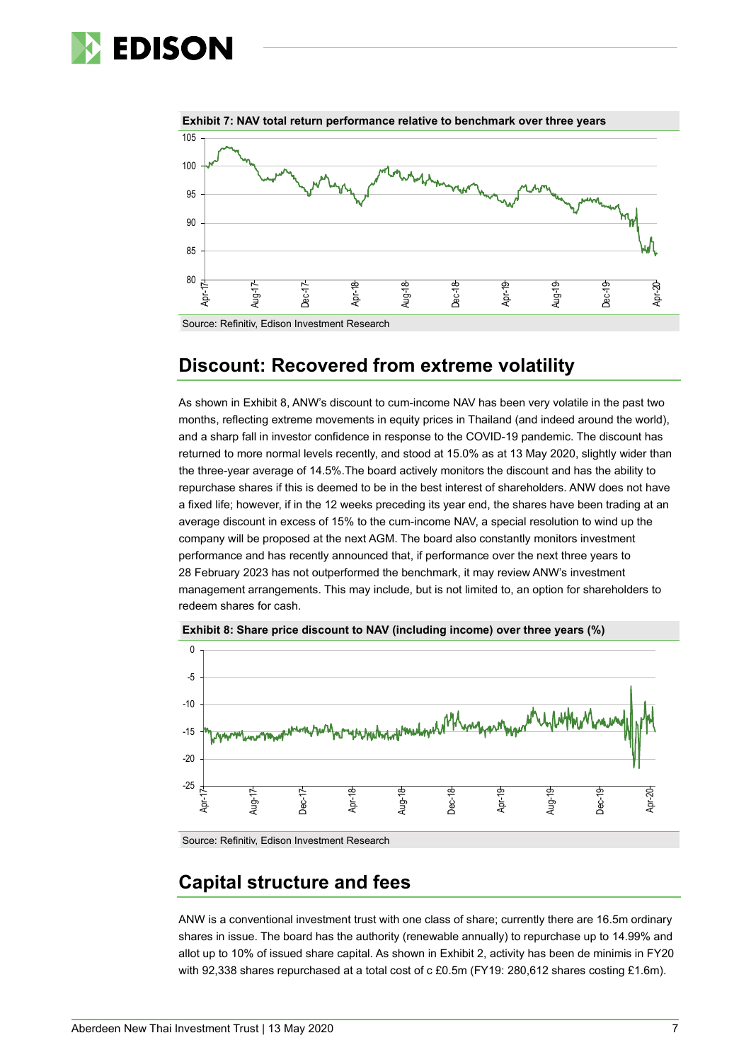# **EDISON**



**Exhibit 7: NAV total return performance relative to benchmark over three years**

Source: Refinitiv, Edison Investment Research

# **Discount: Recovered from extreme volatility**

As shown in Exhibit 8, ANW's discount to cum-income NAV has been very volatile in the past two months, reflecting extreme movements in equity prices in Thailand (and indeed around the world), and a sharp fall in investor confidence in response to the COVID-19 pandemic. The discount has returned to more normal levels recently, and stood at 15.0% as at 13 May 2020, slightly wider than the three-year average of 14.5%.The board actively monitors the discount and has the ability to repurchase shares if this is deemed to be in the best interest of shareholders. ANW does not have a fixed life; however, if in the 12 weeks preceding its year end, the shares have been trading at an average discount in excess of 15% to the cum-income NAV, a special resolution to wind up the company will be proposed at the next AGM. The board also constantly monitors investment performance and has recently announced that, if performance over the next three years to 28 February 2023 has not outperformed the benchmark, it may review ANW's investment management arrangements. This may include, but is not limited to, an option for shareholders to redeem shares for cash.



**Exhibit 8: Share price discount to NAV (including income) over three years (%)**

Source: Refinitiv, Edison Investment Research

# **Capital structure and fees**

ANW is a conventional investment trust with one class of share; currently there are 16.5m ordinary shares in issue. The board has the authority (renewable annually) to repurchase up to 14.99% and allot up to 10% of issued share capital. As shown in Exhibit 2, activity has been de minimis in FY20 with 92,338 shares repurchased at a total cost of c £0.5m (FY19: 280,612 shares costing £1.6m).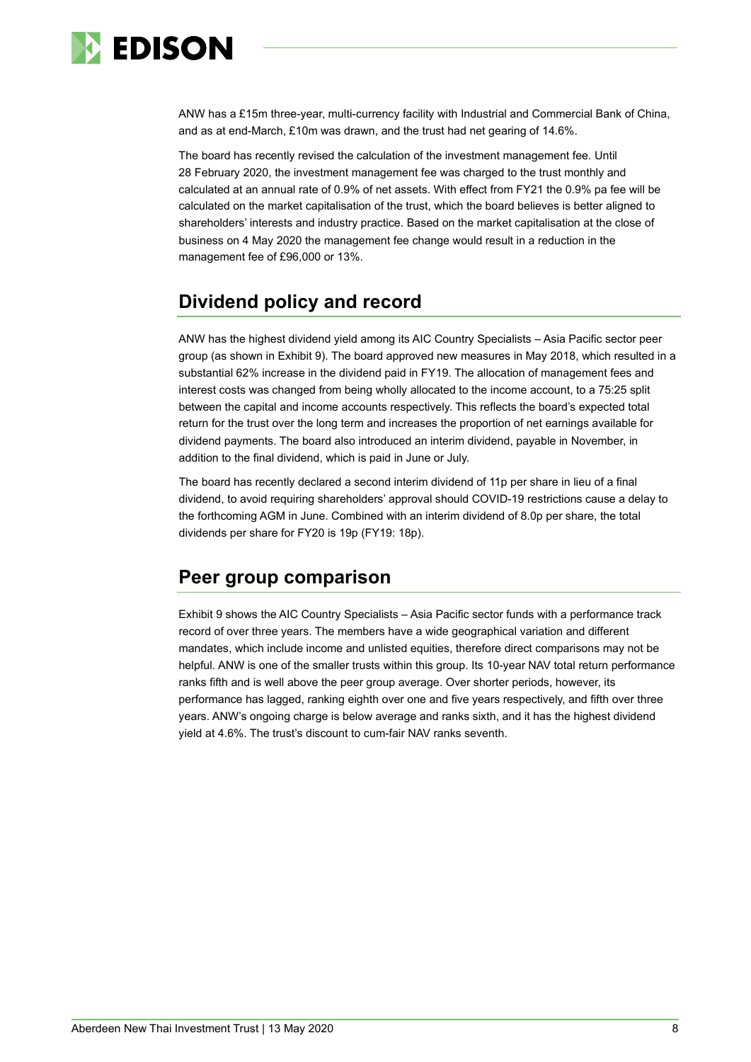

ANW has a £15m three-year, multi-currency facility with Industrial and Commercial Bank of China, and as at end-March, £10m was drawn, and the trust had net gearing of 14.6%.

The board has recently revised the calculation of the investment management fee. Until 28 February 2020, the investment management fee was charged to the trust monthly and calculated at an annual rate of 0.9% of net assets. With effect from FY21 the 0.9% pa fee will be calculated on the market capitalisation of the trust, which the board believes is better aligned to shareholders' interests and industry practice. Based on the market capitalisation at the close of business on 4 May 2020 the management fee change would result in a reduction in the management fee of £96,000 or 13%.

# **Dividend policy and record**

ANW has the highest dividend yield among its AIC Country Specialists – Asia Pacific sector peer group (as shown in Exhibit 9). The board approved new measures in May 2018, which resulted in a substantial 62% increase in the dividend paid in FY19. The allocation of management fees and interest costs was changed from being wholly allocated to the income account, to a 75:25 split between the capital and income accounts respectively. This reflects the board's expected total return for the trust over the long term and increases the proportion of net earnings available for dividend payments. The board also introduced an interim dividend, payable in November, in addition to the final dividend, which is paid in June or July.

The board has recently declared a second interim dividend of 11p per share in lieu of a final dividend, to avoid requiring shareholders' approval should COVID-19 restrictions cause a delay to the forthcoming AGM in June. Combined with an interim dividend of 8.0p per share, the total dividends per share for FY20 is 19p (FY19: 18p).

# **Peer group comparison**

Exhibit 9 shows the AIC Country Specialists – Asia Pacific sector funds with a performance track record of over three years. The members have a wide geographical variation and different mandates, which include income and unlisted equities, therefore direct comparisons may not be helpful. ANW is one of the smaller trusts within this group. Its 10-year NAV total return performance ranks fifth and is well above the peer group average. Over shorter periods, however, its performance has lagged, ranking eighth over one and five years respectively, and fifth over three years. ANW's ongoing charge is below average and ranks sixth, and it has the highest dividend yield at 4.6%. The trust's discount to cum-fair NAV ranks seventh.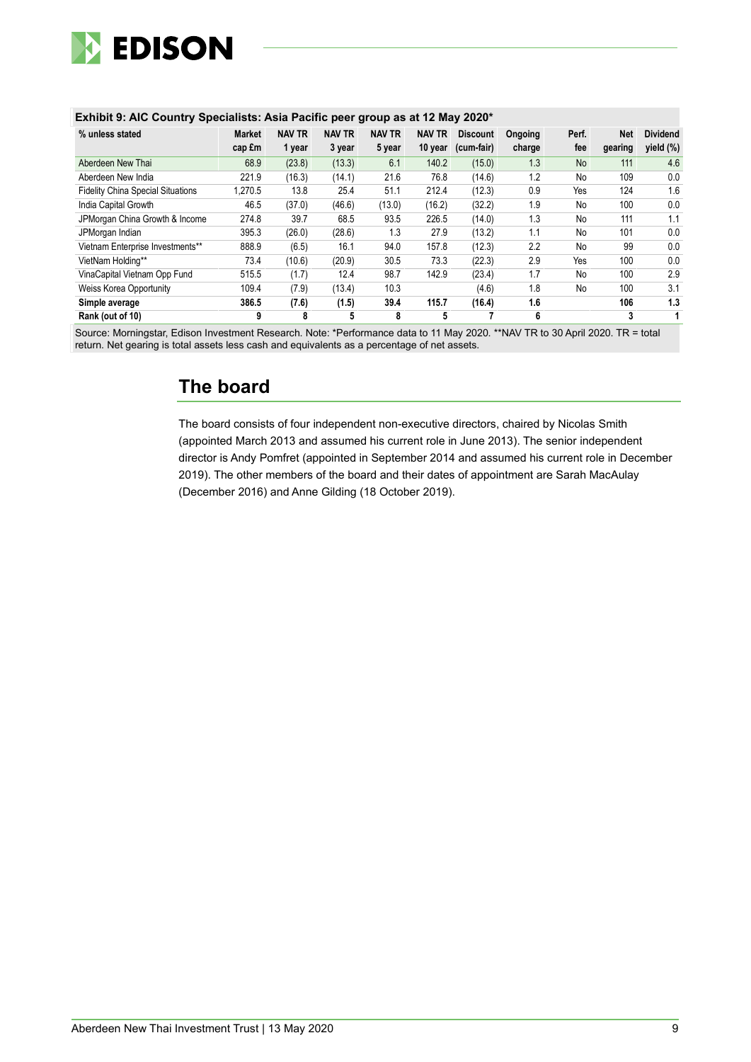

#### **Exhibit 9: AIC Country Specialists: Asia Pacific peer group as at 12 May 2020\***

| % unless stated                          | <b>Market</b> | <b>NAV TR</b> | <b>NAV TR</b> | <b>NAV TR</b> | <b>NAV TR</b> | <b>Discount</b> | Ongoing | Perf.     | <b>Net</b> | <b>Dividend</b> |
|------------------------------------------|---------------|---------------|---------------|---------------|---------------|-----------------|---------|-----------|------------|-----------------|
|                                          | cap fm        | 1 year        | 3 year        | 5 year        | 10 year       | (cum-fair)      | charge  | fee       | gearing    | yield $(\%)$    |
| Aberdeen New Thai                        | 68.9          | (23.8)        | (13.3)        | 6.1           | 140.2         | (15.0)          | 1.3     | <b>No</b> | 111        | 4.6             |
| Aberdeen New India                       | 221.9         | (16.3)        | (14.1)        | 21.6          | 76.8          | (14.6)          | 1.2     | No        | 109        | 0.0             |
| <b>Fidelity China Special Situations</b> | 1.270.5       | 13.8          | 25.4          | 51.1          | 212.4         | (12.3)          | 0.9     | Yes       | 124        | 1.6             |
| India Capital Growth                     | 46.5          | (37.0)        | (46.6)        | (13.0)        | (16.2)        | (32.2)          | 1.9     | No        | 100        | 0.0             |
| JPMorgan China Growth & Income           | 274.8         | 39.7          | 68.5          | 93.5          | 226.5         | (14.0)          | 1.3     | No        | 111        | 1.1             |
| JPMorgan Indian                          | 395.3         | (26.0)        | (28.6)        | 1.3           | 27.9          | (13.2)          | 1.1     | No        | 101        | 0.0             |
| Vietnam Enterprise Investments**         | 888.9         | (6.5)         | 16.1          | 94.0          | 157.8         | (12.3)          | 2.2     | No        | 99         | 0.0             |
| VietNam Holding**                        | 73.4          | (10.6)        | (20.9)        | 30.5          | 73.3          | (22.3)          | 2.9     | Yes       | 100        | 0.0             |
| VinaCapital Vietnam Opp Fund             | 515.5         | (1.7)         | 12.4          | 98.7          | 142.9         | (23.4)          | 1.7     | No        | 100        | 2.9             |
| <b>Weiss Korea Opportunity</b>           | 109.4         | (7.9)         | (13.4)        | 10.3          |               | (4.6)           | 1.8     | No        | 100        | 3.1             |
| Simple average                           | 386.5         | (7.6)         | (1.5)         | 39.4          | 115.7         | (16.4)          | 1.6     |           | 106        | 1.3             |
| Rank (out of 10)                         | 9             | 8             | 5             | 8             | 5             |                 | 6       |           | 3          |                 |

Source: Morningstar, Edison Investment Research. Note: \*Performance data to 11 May 2020. \*\*NAV TR to 30 April 2020. TR = total return. Net gearing is total assets less cash and equivalents as a percentage of net assets.

# **The board**

The board consists of four independent non-executive directors, chaired by Nicolas Smith (appointed March 2013 and assumed his current role in June 2013). The senior independent director is Andy Pomfret (appointed in September 2014 and assumed his current role in December 2019). The other members of the board and their dates of appointment are Sarah MacAulay (December 2016) and Anne Gilding (18 October 2019).